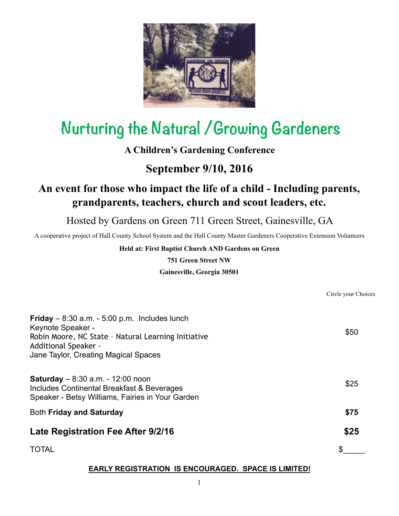

# **Nurturing the Natural /Growing Gardeners**

## **A Children's Gardening Conference**

## **September 9/10, 2016**

## **An event for those who impact the life of a child - Including parents, grandparents, teachers, church and scout leaders, etc.**

Hosted by Gardens on Green 711 Green Street, Gainesville, GA

A cooperative project of Hall County School System and the Hall County Master Gardeners Cooperative Extension Volunteers

#### **Held at: First Baptist Church AND Gardens on Green**

**751 Green Street NW**

#### **Gainesville, Georgia 30501**

Circle your Choices

| Friday $-8.30$ a.m. $-5.00$ p.m. Includes lunch<br>Keynote Speaker -<br>Robin Moore, NC State - Natural Learning Initiative<br>Additional Speaker -<br>Jane Taylor, Creating Magical Spaces | \$50 |
|---------------------------------------------------------------------------------------------------------------------------------------------------------------------------------------------|------|
| <b>Saturday</b> $- 8.30$ a.m. $- 12.00$ noon<br>Includes Continental Breakfast & Beverages<br>Speaker - Betsy Williams, Fairies in Your Garden                                              | \$25 |
| <b>Both Friday and Saturday</b>                                                                                                                                                             | \$75 |
| Late Registration Fee After 9/2/16                                                                                                                                                          | \$25 |
| <b>TOTAL</b>                                                                                                                                                                                |      |

### **EARLY REGISTRATION IS ENCOURAGED. SPACE IS LIMITED!**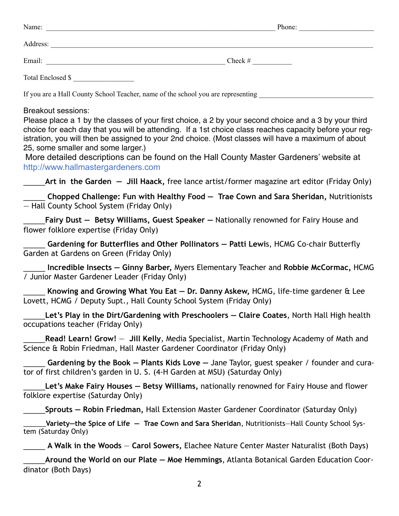| Name:                                                                                                                       | Phone:     |  |
|-----------------------------------------------------------------------------------------------------------------------------|------------|--|
|                                                                                                                             |            |  |
|                                                                                                                             | $Check \#$ |  |
| Total Enclosed \$                                                                                                           |            |  |
| If you are a Hall County School Teacher, name of the school you are representing                                            |            |  |
| Breakout sessions:<br>Please place a 1 by the classes of your first choice, a 2 by your second choice and a 3 by your third |            |  |

choice for each day that you will be attending. If a 1st choice class reaches capacity before your registration, you will then be assigned to your 2nd choice. (Most classes will have a maximum of about 25, some smaller and some larger.)

More detailed descriptions can be found on the Hall County Master Gardeners' website at http://www.hallmastergardeners.com

\_\_\_\_\_**Art in the Garden — Jill Haack,** free lance artist/former magazine art editor (Friday Only)

\_\_\_\_\_ **Chopped Challenge: Fun with Healthy Food — Trae Cown and Sara Sheridan,** Nutritionists — Hall County School System (Friday Only)

\_\_\_\_\_**Fairy Dust — Betsy Williams, Guest Speaker —** Nationally renowned for Fairy House and flower folklore expertise (Friday Only)

\_\_\_\_\_ **Gardening for Butterflies and Other Pollinators — Patti Lewi**s, HCMG Co-chair Butterfly Garden at Gardens on Green (Friday Only)

\_\_\_\_\_ **Incredible Insects — Ginny Barber,** Myers Elementary Teacher and **Robbie McCormac,** HCMG / Junior Master Gardener Leader (Friday Only)

\_\_\_\_\_ **Knowing and Growing What You Eat — Dr. Danny Askew,** HCMG, life-time gardener & Lee Lovett, HCMG / Deputy Supt., Hall County School System (Friday Only)

\_\_\_\_\_**Let's Play in the Dirt/Gardening with Preschoolers — Claire Coates**, North Hall High health occupations teacher (Friday Only)

\_\_\_\_\_**Read! Learn! Grow!** — **Jill Kelly**, Media Specialist, Martin Technology Academy of Math and Science & Robin Friedman, Hall Master Gardener Coordinator (Friday Only)

\_\_\_\_\_ **Gardening by the Book — Plants Kids Love —** Jane Taylor, guest speaker / founder and curator of first children's garden in U. S. (4-H Garden at MSU) (Saturday Only)

\_\_\_\_\_**Let's Make Fairy Houses — Betsy Williams,** nationally renowned for Fairy House and flower folklore expertise (Saturday Only)

\_\_\_\_\_**Sprouts — Robin Friedman,** Hall Extension Master Gardener Coordinator (Saturday Only)

\_\_\_\_\_\_**Variety—the Spice of Life — Trae Cown and Sara Sheridan**, Nutritionists—Hall County School System (Saturday Only)

\_\_\_\_\_ **A Walk in the Woods** — **Carol Sowers,** Elachee Nature Center Master Naturalist (Both Days)

\_\_\_\_\_**Around the World on our Plate — Moe Hemmings**, Atlanta Botanical Garden Education Coordinator (Both Days)